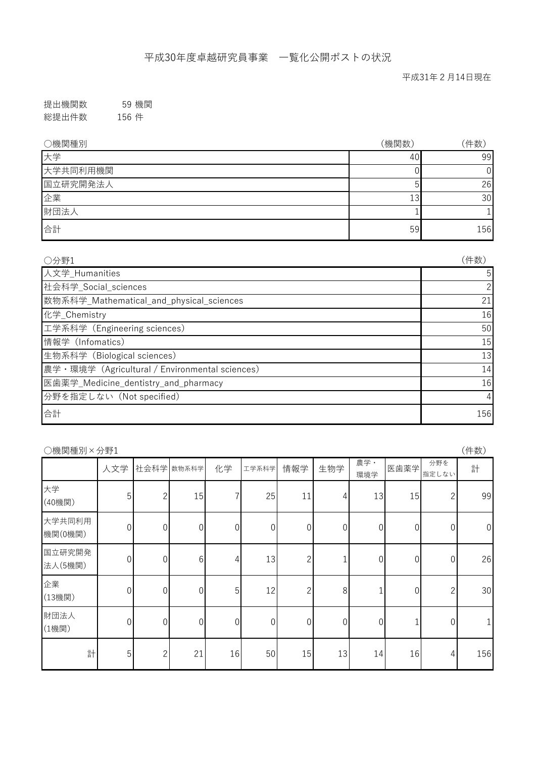提出機関数 59 機関 総提出件数 156 件

| ○機関種別    | (機関数) | 件数  |
|----------|-------|-----|
| 大学       | 40    | 99  |
| 大学共同利用機関 |       | U   |
| 国立研究開発法人 |       | 26  |
| 企業       | 13    | 30  |
| 財団法人     |       |     |
| 合計       | 59    | 156 |

| ○分野1                                           | (件数)           |
|------------------------------------------------|----------------|
| 人文学_Humanities                                 | 5              |
| 杜会科学_Social_sciences                           | $\overline{2}$ |
| 数物系科学_Mathematical_and_physical_sciences       | 21             |
| 化学 Chemistry                                   | 16             |
| 工学系科学 (Engineering sciences)                   | 50             |
| 情報学 (Infomatics)                               | 15             |
| 生物系科学 (Biological sciences)                    | 13             |
| 農学・環境学 (Agricultural / Environmental sciences) | 14             |
| 医歯薬学_Medicine_dentistry_and_pharmacy           | 16             |
| 分野を指定しない (Not specified)                       | 4              |
| 合計                                             | 156            |

| (件数)<br>○機関種別×分野1 |                |                  |                  |          |                  |                  |                  |                  |                  |                |                |
|-------------------|----------------|------------------|------------------|----------|------------------|------------------|------------------|------------------|------------------|----------------|----------------|
|                   | 人文学            |                  | 社会科学 数物系科学       | 化学       | 工学系科学            | 情報学              | 生物学              | 農学·<br>環境学       | 医歯薬学             | 分野を<br>指定しない   | 計              |
| 大学<br>(40機関)      | 5              | $\overline{c}$   | 15               | 7        | 25               | 11               | 4                | 13               | 15               | 2              | 99             |
| 大学共同利用<br>機関(0機関) | $\overline{0}$ | $\overline{0}$   | $\boldsymbol{0}$ | $\theta$ | $\boldsymbol{0}$ | $\boldsymbol{0}$ | $\vert 0 \vert$  | $\boldsymbol{0}$ | $\mathbf 0$      | $\overline{0}$ | $\overline{0}$ |
| 国立研究開発<br>法人(5機関) | $\overline{0}$ | $\boldsymbol{0}$ | 6                | 4        | 13               | $\overline{2}$   |                  | $\boldsymbol{0}$ | $\boldsymbol{0}$ | $\overline{0}$ | 26             |
| 企業<br>(13機関)      | $\overline{0}$ | $\overline{0}$   | $\overline{0}$   | 5        | 12               | $\overline{2}$   | 8                | 1                | 0                | $\overline{2}$ | 30             |
| 財団法人<br>(1機関)     | $\overline{0}$ | $\overline{0}$   | 0                | $\theta$ | $\overline{0}$   | $\theta$         | $\boldsymbol{0}$ | 0                |                  | $\theta$       |                |
| 計                 | 5              | $\overline{c}$   | 21               | 16       | 50               | 15               | 13               | 14               | 16               | 4              | 156            |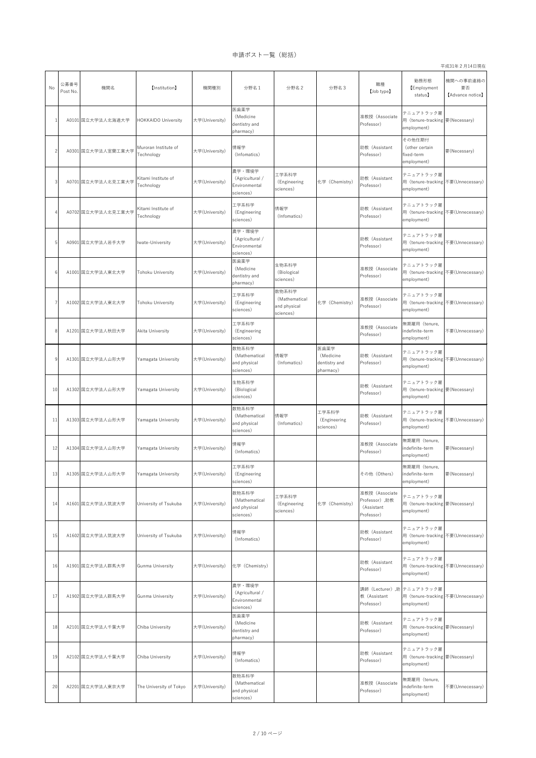平成31年2月14日現在

| No | 公募番号<br>Post No. | 機関名                | 【Institution】                      | 機関種別           | 分野名 1                                                   | 分野名 2                                               | 分野名3                                            | 職種<br>[Job type]                                             | 勤務形態<br><b>[Employment</b><br>status)                                           | 機関への事前連絡の<br>要否<br>[Advance notice] |
|----|------------------|--------------------|------------------------------------|----------------|---------------------------------------------------------|-----------------------------------------------------|-------------------------------------------------|--------------------------------------------------------------|---------------------------------------------------------------------------------|-------------------------------------|
|    |                  | A0101 国立大学法人北海道大学  | <b>HOKKAIDO University</b>         | 大学(University) | 医歯薬学<br>(Medicine<br>dentistry and<br>pharmacy)         |                                                     |                                                 | 准教授 (Associate<br>Professor)                                 | テニュアトラック雇<br>用 (tenure-tracking 要 (Necessary)<br>employment)                    |                                     |
|    |                  | A0301 国立大学法人室蘭工業大学 | Muroran Institute of<br>Technology | 大学(University) | 情報学<br>(Infomatics)                                     |                                                     |                                                 | 助教 (Assistant<br>Professor)                                  | その他任期付<br>(other certain<br>fixed-term<br>employment)                           | 要(Necessary)                        |
|    |                  | A0701 国立大学法人北見工業大学 | Kitami Institute of<br>Technology  | 大学(University) | 農学・環境学<br>(Agricultural /<br>Environmental<br>sciences) | 工学系科学<br>(Engineering<br>sciences)                  | 化学 (Chemistry)                                  | 助教 (Assistant<br>Professor)                                  | テニュアトラック雇<br>用 (tenure-tracking 不要(Unnecessary)<br>employment)                  |                                     |
|    |                  | A0702 国立大学法人北見工業大学 | Kitami Institute of<br>Technology  | 大学(University) | 工学系科学<br>(Engineering<br>sciences)                      | 情報学<br>(Infomatics)                                 |                                                 | 助教 (Assistant<br>Professor)                                  | テニュアトラック雇<br>用 (tenure-tracking 不要(Unnecessary)<br>employment)                  |                                     |
|    |                  | A0901 国立大学法人岩手大学   | Iwate-University                   | 大学(University) | 農学・環境学<br>(Agricultural /<br>Environmental<br>sciences) |                                                     |                                                 | 助教 (Assistant<br>Professor)                                  | テニュアトラック雇<br>用 (tenure-tracking 不要(Unnecessary)<br>employment)                  |                                     |
|    |                  | A1001 国立大学法人東北大学   | Tohoku University                  | 大学(University) | 医歯薬学<br>(Medicine<br>dentistry and<br>pharmacy)         | 生物系科学<br>(Biological<br>sciences)                   |                                                 | 准教授 (Associate<br>Professor)                                 | テニュアトラック雇<br>用 (tenure-tracking 不要(Unnecessary)<br>employment)                  |                                     |
|    |                  | A1002 国立大学法人東北大学   | <b>Tohoku University</b>           | 大学(University) | 工学系科学<br>(Engineering<br>sciences)                      | 数物系科学<br>(Mathematical<br>and physical<br>sciences) | 化学 (Chemistry)                                  | 准教授 (Associate<br>Professor)                                 | テニュアトラック雇<br>用 (tenure-tracking 不要(Unnecessary)<br>employment)                  |                                     |
|    |                  | A1201 国立大学法人秋田大学   | Akita University                   | 大学(University) | 工学系科学<br>(Engineering<br>sciences)                      |                                                     |                                                 | 准教授 (Associate<br>Professor)                                 | 無期雇用 (tenure,<br>indefinite-term<br>employment)                                 | 不要(Unnecessary)                     |
|    |                  | A1301 国立大学法人山形大学   | Yamagata University                | 大学(University) | 数物系科学<br>(Mathematical<br>and physical<br>sciences)     | 情報学<br>(Infomatics)                                 | 医歯薬学<br>(Medicine<br>dentistry and<br>pharmacy) | 助教 (Assistant<br>Professor)                                  | テニュアトラック雇<br>用 (tenure-tracking 不要(Unnecessary)<br>employment)                  |                                     |
| 10 |                  | A1302 国立大学法人山形大学   | Yamagata University                | 大学(University) | 生物系科学<br>(Biological<br>sciences)                       |                                                     |                                                 | 助教 (Assistant<br>Professor)                                  | テニュアトラック雇<br>用 (tenure-tracking 要(Necessary)<br>employment)                     |                                     |
| 11 |                  | A1303 国立大学法人山形大学   | Yamagata University                | 大学(University) | 数物系科学<br>(Mathematical<br>and physical<br>sciences)     | 情報学<br>(Infomatics)                                 | 工学系科学<br>(Engineering<br>sciences)              | 助教 (Assistant<br>Professor)                                  | テニュアトラック雇<br>用 (tenure-tracking 不要(Unnecessary)<br>employment)                  |                                     |
| 12 |                  | A1304 国立大学法人山形大学   | Yamagata University                | 大学(University) | 情報学<br>(Infomatics)                                     |                                                     |                                                 | 准教授 (Associate<br>Professor)                                 | 無期雇用 (tenure,<br>indefinite-term<br>employment)                                 | 要(Necessary)                        |
|    |                  | A1305 国立大学法人山形大学   | Yamagata University                | 大学(University) | 工学系科学<br>(Engineering<br>sciences)                      |                                                     |                                                 | その他 (Others)                                                 | 無期雇用 (tenure,<br>indefinite-term<br>employment)                                 | 要(Necessary)                        |
| 14 |                  | A1601 国立大学法人筑波大学   | University of Tsukuba              | 大学(University) | 数物系科学<br>(Mathematical<br>and physical<br>sciences)     | 工学系科学<br>(Engineering<br>sciences)                  | 化学 (Chemistry)                                  | 准教授 (Associate<br>Professor), 助教<br>(Assistant<br>Professor) | テニュアトラック雇<br>用 (tenure-tracking 要(Necessary)<br>employment)                     |                                     |
| 15 |                  | A1602 国立大学法人筑波大学   | University of Tsukuba              | 大学(University) | 情報学<br>(Infomatics)                                     |                                                     |                                                 | 助教 (Assistant<br>Professor)                                  | テニュアトラック雇<br>用 (tenure-tracking 不要(Unnecessary)<br>employment)                  |                                     |
| 16 |                  | A1901 国立大学法人群馬大学   | <b>Gunma University</b>            | 大学(University) | 化学 (Chemistry)                                          |                                                     |                                                 | 助教 (Assistant<br>Professor)                                  | テニュアトラック雇<br>用 (tenure-tracking 不要(Unnecessary)<br>employment)                  |                                     |
| 17 |                  | A1902 国立大学法人群馬大学   | <b>Gunma University</b>            | 大学(University) | 農学・環境学<br>(Agricultural /<br>Environmental<br>sciences) |                                                     |                                                 | 教 (Assistant<br>Professor)                                   | 講師 (Lecturer) ,助 テニュアトラック雇<br>用 (tenure-tracking 不要(Unnecessary)<br>employment) |                                     |
| 18 |                  | A2101 国立大学法人千葉大学   | Chiba University                   | 大学(University) | 医歯薬学<br>(Medicine<br>dentistry and<br>pharmacy)         |                                                     |                                                 | 助教 (Assistant<br>Professor)                                  | テニュアトラック雇<br>用 (tenure-tracking 要 (Necessary)<br>employment)                    |                                     |
| 19 |                  | A2102 国立大学法人千葉大学   | Chiba University                   | 大学(University) | 情報学<br>(Infomatics)                                     |                                                     |                                                 | 助教 (Assistant<br>Professor)                                  | テニュアトラック雇<br>用 (tenure-tracking 要(Necessary)<br>employment)                     |                                     |
| 20 |                  | A2201 国立大学法人東京大学   | The University of Tokyo            | 大学(University) | 数物系科学<br>(Mathematical<br>and physical<br>sciences)     |                                                     |                                                 | 准教授 (Associate<br>Professor)                                 | 無期雇用 (tenure,<br>indefinite-term<br>employment)                                 | 不要(Unnecessary)                     |

申請ポスト一覧(総括)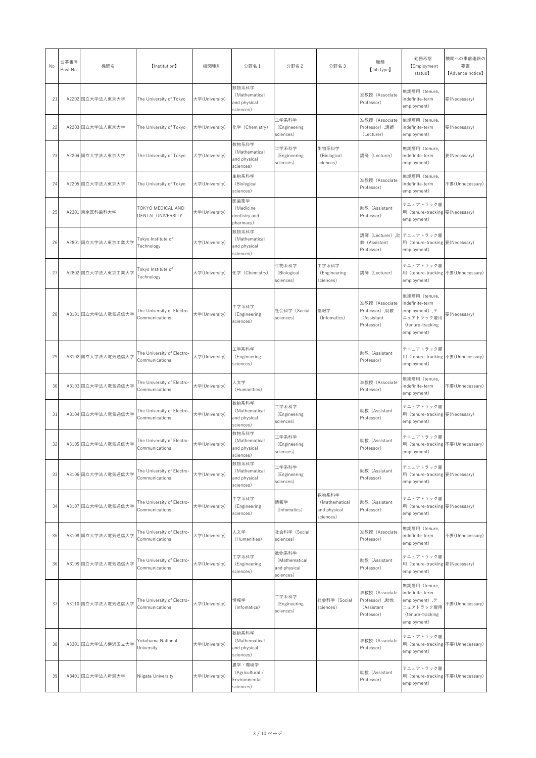| No | 公募番号<br>Post No. | 機関名                                           | 【Institution】                                | 機関種別           | 分野名 1                                                   | 分野名 2                                               | 分野名3                                                | 職種<br>[Job type]                                             | 勤務形態<br>Employment<br>status)                                                                                 | 機関への事前連絡の<br>要否<br>[Advance notice] |
|----|------------------|-----------------------------------------------|----------------------------------------------|----------------|---------------------------------------------------------|-----------------------------------------------------|-----------------------------------------------------|--------------------------------------------------------------|---------------------------------------------------------------------------------------------------------------|-------------------------------------|
| 21 |                  | A2202 国立大学法人東京大学                              | The University of Tokyo                      | 大学(University) | 数物系科学<br>(Mathematical<br>and physical<br>sciences)     |                                                     |                                                     | 准教授 (Associate<br>Professor)                                 | 無期雇用 (tenure,<br>indefinite-term<br>employment)                                                               | 要(Necessary)                        |
| 22 |                  | A2203 国立大学法人東京大学                              | The University of Tokyo                      | 大学(University) | 化学 (Chemistry)                                          | 工学系科学<br>(Engineering<br>sciences)                  |                                                     | 准教授 (Associate<br>Professor), 講師<br>(Lecturer)               | 無期雇用 (tenure,<br>indefinite-term<br>employment)                                                               | 要(Necessary)                        |
| 23 |                  | A2204 国立大学法人東京大学                              | The University of Tokyo                      | 大学(University) | 数物系科学<br>(Mathematical<br>and physical<br>sciences)     | 工学系科学<br>(Engineering<br>sciences)                  | 生物系科学<br>(Biological<br>sciences)                   | 講師 (Lecturer)                                                | 無期雇用 (tenure,<br>indefinite-term<br>employment)                                                               | 要(Necessary)                        |
| 24 |                  | A2205 国立大学法人東京大学                              | The University of Tokyo                      | 大学(University) | 生物系科学<br>(Biological<br>sciences)                       |                                                     |                                                     | 准教授 (Associate<br>Professor)                                 | 無期雇用 (tenure,<br>indefinite-term<br>employment)                                                               | 不要(Unnecessary)                     |
| 25 |                  | A2301 東京医科歯科大学                                | TOKYO MEDICAL AND<br>DENTAL UNIVERSITY       | 大学(University) | 医歯薬学<br>(Medicine<br>dentistry and<br>pharmacy)         |                                                     |                                                     | 助教 (Assistant<br>Professor)                                  | テニュアトラック雇<br>用 (tenure-tracking 要 (Necessary)<br>employment)                                                  |                                     |
| 26 |                  | A2801 国立大学法人東京工業大学                            | Tokyo Institute of<br>Technology             | 大学(University) | 数物系科学<br>(Mathematical<br>and physical<br>sciences)     |                                                     |                                                     | 教 (Assistant<br>Professor)                                   | 講師 (Lecturer) ,助 テニュアトラック雇<br>用 (tenure-tracking 要(Necessary)<br>employment)                                  |                                     |
| 27 |                  | A2802 国立大学法人東京工業大学                            | Tokyo Institute of<br>Technology             | 大学(University) | 化学 (Chemistry)                                          | 生物系科学<br>(Biological<br>sciences)                   | 工学系科学<br>(Engineering<br>sciences)                  | 講師 (Lecturer)                                                | テニュアトラック雇<br>用 (tenure-tracking 不要(Unnecessary)<br>employment)                                                |                                     |
| 28 |                  | A3101 国立大学法人電気通信大学                            | The University of Electro-<br>Communications | 大学(University) | 工学系科学<br>(Engineering<br>sciences)                      | 社会科学 (Social<br>sciences)                           | 情報学<br>(Infomatics)                                 | 准教授 (Associate<br>Professor), 助教<br>(Assistant<br>Professor) | 無期雇用 (tenure,<br>indefinite-term<br>employment), $\bar{\tau}$<br>ニュアトラック雇用<br>(tenure-tracking<br>employment) | 要(Necessary)                        |
| 29 |                  | A3102 国立大学法人電気通信大学                            | The University of Electro-<br>Communications | 大学(University) | 工学系科学<br>(Engineering<br>sciences)                      |                                                     |                                                     | 助教 (Assistant<br>Professor)                                  | テニュアトラック雇<br>用 (tenure-tracking 不要(Unnecessary)<br>employment)                                                |                                     |
| 30 |                  | A3103 国立大学法人電気通信大学                            | The University of Electro-<br>Communications | 大学(University) | 人文学<br>(Humanities)                                     |                                                     |                                                     | 准教授 (Associate<br>Professor)                                 | 無期雇用 (tenure,<br>indefinite-term<br>employment)                                                               | 不要(Unnecessary)                     |
| 31 |                  | A3104 国立大学法人電気通信大学                            | The University of Electro-<br>Communications | 大学(University) | 数物系科学<br>(Mathematical<br>and physical<br>sciences)     | 工学系科学<br>(Engineering<br>sciences)                  |                                                     | 助教 (Assistant<br>Professor)                                  | テニュアトラック雇<br>用 (tenure-tracking 要 (Necessary)<br>employment)                                                  |                                     |
| 32 |                  | A3105 国立大学法人電気通信大学 The University of Electro- | Communications                               | 大学(University) | 数物系科学<br>(Mathematical<br>and physical<br>sciences)     | 工学系科学<br>(Engineering<br>sciences)                  |                                                     | 助教 (Assistant<br>Professor)                                  | テニュアトラック雇<br>用 (tenure-tracking 不要(Unnecessary)<br>employment)                                                |                                     |
| 33 |                  | A3106 国立大学法人電気通信大学                            | The University of Electro-<br>Communications | 大学(University) | 数物系科学<br>(Mathematical<br>and physical<br>sciences)     | 工学系科学<br>(Engineering<br>sciences)                  |                                                     | 助教 (Assistant<br>Professor)                                  | テニュアトラック雇<br>用 (tenure-tracking 要 (Necessary)<br>employment)                                                  |                                     |
| 34 |                  | A3107 国立大学法人電気通信大学                            | The University of Electro-<br>Communications | 大学(University) | 工学系科学<br>(Engineering<br>sciences)                      | 情報学<br>(Infomatics)                                 | 数物系科学<br>(Mathematical<br>and physical<br>sciences) | 助教 (Assistant<br>Professor)                                  | テニュアトラック雇<br>用 (tenure-tracking 要(Necessary)<br>employment)                                                   |                                     |
| 35 |                  | A3108 国立大学法人電気通信大学                            | The University of Electro-<br>Communications | 大学(University) | 人文学<br>(Humanities)                                     | 社会科学 (Social<br>sciences)                           |                                                     | 准教授 (Associate<br>Professor)                                 | 無期雇用 (tenure,<br>indefinite-term<br>employment)                                                               | 不要(Unnecessary)                     |
| 36 |                  | A3109 国立大学法人電気通信大学                            | The University of Electro-<br>Communications | 大学(University) | 工学系科学<br>(Engineering<br>sciences)                      | 数物系科学<br>(Mathematical<br>and physical<br>sciences) |                                                     | 助教 (Assistant<br>Professor)                                  | テニュアトラック雇<br>用 (tenure-tracking 要(Necessary)<br>employment)                                                   |                                     |
| 37 |                  | A3110 国立大学法人電気通信大学                            | The University of Electro-<br>Communications | 大学(University) | 情報学<br>(Infomatics)                                     | 工学系科学<br>(Engineering<br>sciences)                  | 社会科学 (Social<br>sciences)                           | 准教授 (Associate<br>Professor),助教<br>(Assistant<br>Professor)  | 無期雇用 (tenure,<br>indefinite-term<br>employment), $\bar{\tau}$<br>ニュアトラック雇用<br>(tenure-tracking<br>employment) | 不要(Unnecessary)                     |
| 38 |                  | A3301 国立大学法人横浜国立大学                            | Yokohama National<br>University              | 大学(University) | 数物系科学<br>(Mathematical<br>and physical<br>sciences)     |                                                     |                                                     | 准教授 (Associate<br>Professor)                                 | テニュアトラック雇<br>用 (tenure-tracking 不要(Unnecessary)<br>employment)                                                |                                     |
| 39 |                  | A3401 国立大学法人新潟大学                              | Niigata University                           | 大学(University) | 農学・環境学<br>(Agricultural /<br>Environmental<br>sciences) |                                                     |                                                     | 助教 (Assistant<br>Professor)                                  | テニュアトラック雇<br>用 (tenure-tracking 不要(Unnecessary)<br>employment)                                                |                                     |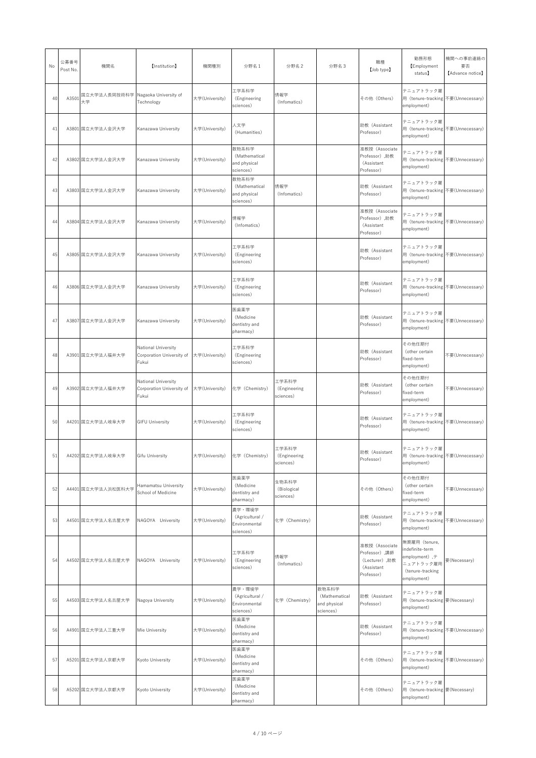| No | 公募番号<br>Post No. | 機関名                                        | 【Institution】                                             | 機関種別           | 分野名1                                                    | 分野名 2                              | 分野名3                                                | 職種<br>[Job type]                                                              | 勤務形態<br><b>[Employment</b><br>status】                                                                         | 機関への事前連絡の<br>要否<br>[Advance notice] |
|----|------------------|--------------------------------------------|-----------------------------------------------------------|----------------|---------------------------------------------------------|------------------------------------|-----------------------------------------------------|-------------------------------------------------------------------------------|---------------------------------------------------------------------------------------------------------------|-------------------------------------|
| 40 | A3501            | 国立大学法人長岡技術科学   Nagaoka University of<br>大学 | Technology                                                | 大学(University) | 工学系科学<br>(Engineering<br>sciences)                      | 情報学<br>(Infomatics)                |                                                     | その他 (Others)                                                                  | テニュアトラック雇<br>用 (tenure-tracking 不要(Unnecessary)<br>employment)                                                |                                     |
| 41 |                  | A3801 国立大学法人金沢大学                           | Kanazawa University                                       | 大学(University) | 人文学<br>(Humanities)                                     |                                    |                                                     | 助教 (Assistant<br>Professor)                                                   | テニュアトラック雇<br>用 (tenure-tracking 不要(Unnecessary)<br>employment)                                                |                                     |
| 42 |                  | A3802 国立大学法人金沢大学                           | Kanazawa University                                       | 大学(University) | 数物系科学<br>(Mathematical<br>and physical<br>sciences)     |                                    |                                                     | 准教授 (Associate<br>Professor), 助教<br>(Assistant<br>Professor)                  | テニュアトラック雇<br>用 (tenure-tracking 不要(Unnecessary)<br>employment)                                                |                                     |
| 43 |                  | A3803 国立大学法人金沢大学                           | Kanazawa University                                       | 大学(University) | 数物系科学<br>(Mathematical<br>and physical<br>sciences)     | 情報学<br>(Infomatics)                |                                                     | 助教 (Assistant<br>Professor)                                                   | テニュアトラック雇<br>用 (tenure-tracking 不要(Unnecessary)<br>employment)                                                |                                     |
| 44 |                  | A3804 国立大学法人金沢大学                           | Kanazawa University                                       | 大学(University) | 情報学<br>(Infomatics)                                     |                                    |                                                     | 准教授 (Associate<br>Professor), 助教<br>(Assistant<br>Professor)                  | テニュアトラック雇<br>用 (tenure-tracking 不要(Unnecessary)<br>employment)                                                |                                     |
| 45 |                  | A3805 国立大学法人金沢大学                           | Kanazawa University                                       | 大学(University) | 工学系科学<br>(Engineering<br>sciences)                      |                                    |                                                     | 助教 (Assistant<br>Professor)                                                   | テニュアトラック雇<br>用 (tenure-tracking 不要(Unnecessary)<br>employment)                                                |                                     |
| 46 |                  | A3806 国立大学法人金沢大学                           | Kanazawa University                                       | 大学(University) | 工学系科学<br>(Engineering<br>sciences)                      |                                    |                                                     | 助教 (Assistant<br>Professor)                                                   | テニュアトラック雇<br>用 (tenure-tracking 不要(Unnecessary)<br>employment)                                                |                                     |
| 47 |                  | A3807 国立大学法人金沢大学                           | Kanazawa University                                       | 大学(University) | 医歯薬学<br>(Medicine<br>dentistry and<br>pharmacy)         |                                    |                                                     | 助教 (Assistant<br>Professor)                                                   | テニュアトラック雇<br>用 (tenure-tracking 不要(Unnecessary)<br>employment)                                                |                                     |
| 48 |                  | A3901 国立大学法人福井大学                           | National University<br>Corporation University of<br>Fukui | 大学(University) | 工学系科学<br>(Engineering<br>sciences)                      |                                    |                                                     | 助教 (Assistant<br>Professor)                                                   | その他任期付<br>(other certain<br>fixed-term<br>employment)                                                         | 不要(Unnecessary)                     |
| 49 |                  | A3902 国立大学法人福井大学                           | National University<br>Corporation University of<br>Fukui | 大学(University) | 化学 (Chemistry)                                          | 工学系科学<br>(Engineering<br>sciences) |                                                     | 助教 (Assistant<br>Professor)                                                   | その他任期付<br>(other certain<br>fixed-term<br>employment)                                                         | 不要(Unnecessary)                     |
| 50 |                  | A4201 国立大学法人岐阜大学                           | <b>GIFU University</b>                                    | 大学(University) | 工学系科学<br>(Engineering<br>sciences)                      |                                    |                                                     | 助教 (Assistant<br>Professor)                                                   | テニュアトラック雇<br>用 (tenure-tracking 不要(Unnecessary)<br>employment)                                                |                                     |
| 51 |                  | A4202 国立大学法人岐阜大学                           | <b>Gifu University</b>                                    | 大学(University) | 化学 (Chemistry)                                          | 工学系科学<br>(Engineering<br>sciences) |                                                     | 助教 (Assistant<br>Professor)                                                   | テニュアトラック雇<br>用 (tenure-tracking 不要(Unnecessary)<br>employment)                                                |                                     |
| 52 |                  | A4401 国立大学法人浜松医科大学                         | Hamamatsu University<br>School of Medicine                | 大学(University) | 医歯薬学<br>(Medicine<br>dentistry and<br>pharmacy)         | 生物系科学<br>(Biological<br>sciences)  |                                                     | その他 (Others)                                                                  | その他任期付<br>(other certain<br>fixed-term<br>employment)                                                         | 不要(Unnecessary)                     |
| 53 |                  | A4501 国立大学法人名古屋大学                          | NAGOYA University                                         | 大学(University) | 農学・環境学<br>(Agricultural /<br>Environmental<br>sciences) | 化学 (Chemistry)                     |                                                     | 助教 (Assistant<br>Professor)                                                   | テニュアトラック雇<br>用 (tenure-tracking 不要(Unnecessary)<br>employment)                                                |                                     |
| 54 |                  | A4502 国立大学法人名古屋大学                          | NAGOYA University                                         | 大学(University) | 工学系科学<br>(Engineering<br>sciences)                      | 情報学<br>(Infomatics)                |                                                     | 准教授 (Associate<br>Professor),講師<br>(Lecturer), 助教<br>(Assistant<br>Professor) | 無期雇用 (tenure,<br>indefinite-term<br>employment), $\bar{\tau}$<br>ニュアトラック雇用<br>(tenure-tracking<br>employment) | 要(Necessary)                        |
| 55 |                  | A4503 国立大学法人名古屋大学                          | Nagoya University                                         | 大学(University) | 農学・環境学<br>(Agricultural /<br>Environmental<br>sciences) | 化学 (Chemistry)                     | 数物系科学<br>(Mathematical<br>and physical<br>sciences) | 助教 (Assistant<br>Professor)                                                   | テニュアトラック雇<br>用 (tenure-tracking 要(Necessary)<br>employment)                                                   |                                     |
| 56 |                  | A4901 国立大学法人三重大学                           | Mie University                                            | 大学(University) | 医歯薬学<br>(Medicine<br>dentistry and<br>pharmacy)         |                                    |                                                     | 助教 (Assistant<br>Professor)                                                   | テニュアトラック雇<br>用 (tenure-tracking 不要(Unnecessary)<br>employment)                                                |                                     |
| 57 |                  | A5201 国立大学法人京都大学                           | Kyoto University                                          | 大学(University) | 医歯薬学<br>(Medicine<br>dentistry and<br>pharmacy)         |                                    |                                                     | その他 (Others)                                                                  | テニュアトラック雇<br>用 (tenure-tracking 不要(Unnecessary)<br>employment)                                                |                                     |
| 58 |                  | A5202 国立大学法人京都大学                           | Kyoto University                                          | 大学(University) | 医歯薬学<br>(Medicine<br>dentistry and<br>pharmacy)         |                                    |                                                     | その他 (Others)                                                                  | テニュアトラック雇<br>用 (tenure-tracking 要(Necessary)<br>employment)                                                   |                                     |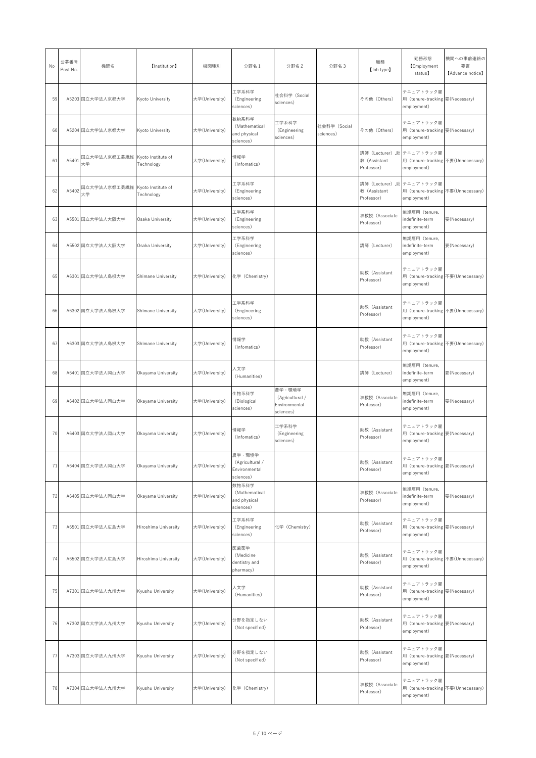| No | 公募番号<br>Post No. | 機関名                                     | 【Institution】             | 機関種別           | 分野名1                                                    | 分野名 2                                                   | 分野名3                      | 職種<br>[Job type]             | 勤務形態<br><b>Employment</b><br>status)                                            | 機関への事前連絡の<br>要否<br>[Advance notice] |
|----|------------------|-----------------------------------------|---------------------------|----------------|---------------------------------------------------------|---------------------------------------------------------|---------------------------|------------------------------|---------------------------------------------------------------------------------|-------------------------------------|
| 59 |                  | A5203 国立大学法人京都大学                        | Kyoto University          | 大学(University) | 工学系科学<br>(Engineering<br>sciences)                      | 社会科学 (Social<br>sciences)                               |                           | その他 (Others)                 | テニュアトラック雇<br>用 (tenure-tracking 要(Necessary)<br>employment)                     |                                     |
| 60 |                  | A5204 国立大学法人京都大学                        | Kyoto University          | 大学(University) | 数物系科学<br>(Mathematical<br>and physical<br>sciences)     | 工学系科学<br>(Engineering<br>sciences)                      | 社会科学 (Social<br>sciences) | その他 (Others)                 | テニュアトラック雇<br>用 (tenure-tracking 要(Necessary)<br>employment)                     |                                     |
| 61 | A5401            | 国立大学法人京都工芸繊維   Kyoto Institute of<br>大学 | Technology                | 大学(University) | 情報学<br>(Infomatics)                                     |                                                         |                           | 教 (Assistant<br>Professor)   | 講師 (Lecturer) ,助 テニュアトラック雇<br>用 (tenure-tracking 不要(Unnecessary)<br>employment) |                                     |
| 62 | A5402            | 国立大学法人京都工芸繊維 Kyoto Institute of<br>大学   | Technology                | 大学(University) | 工学系科学<br>(Engineering<br>sciences)                      |                                                         |                           | 教 (Assistant<br>Professor)   | 講師(Lecturer),助  テニュアトラック雇<br>用 (tenure-tracking 不要(Unnecessary)<br>employment)  |                                     |
| 63 |                  | A5501 国立大学法人大阪大学                        | Osaka University          | 大学(University) | 工学系科学<br>(Engineering<br>sciences)                      |                                                         |                           | 准教授 (Associate<br>Professor) | 無期雇用 (tenure,<br>indefinite-term<br>employment)                                 | 要(Necessary)                        |
| 64 |                  | A5502 国立大学法人大阪大学                        | Osaka University          | 大学(University) | 工学系科学<br>(Engineering<br>sciences)                      |                                                         |                           | 講師 (Lecturer)                | 無期雇用 (tenure,<br>indefinite-term<br>employment)                                 | 要(Necessary)                        |
| 65 |                  | A6301 国立大学法人島根大学                        | <b>Shimane University</b> | 大学(University) | 化学 (Chemistry)                                          |                                                         |                           | 助教 (Assistant<br>Professor)  | テニュアトラック雇<br>用 (tenure-tracking 不要(Unnecessary)<br>employment)                  |                                     |
| 66 |                  | A6302 国立大学法人島根大学                        | <b>Shimane University</b> | 大学(University) | 工学系科学<br>(Engineering<br>sciences)                      |                                                         |                           | 助教 (Assistant<br>Professor)  | テニュアトラック雇<br>用 (tenure-tracking 不要(Unnecessary)<br>employment)                  |                                     |
| 67 |                  | A6303 国立大学法人島根大学                        | <b>Shimane University</b> | 大学(University) | 情報学<br>(Infomatics)                                     |                                                         |                           | 助教 (Assistant<br>Professor)  | テニュアトラック雇<br>用 (tenure-tracking 不要(Unnecessary)<br>employment)                  |                                     |
| 68 |                  | A6401 国立大学法人岡山大学                        | Okayama University        | 大学(University) | 人文学<br>(Humanities)                                     |                                                         |                           | 講師 (Lecturer)                | 無期雇用 (tenure,<br>indefinite-term<br>employment)                                 | 要(Necessary)                        |
| 69 |                  | A6402 国立大学法人岡山大学                        | Okayama University        | 大学(University) | 生物系科学<br>(Biological<br>sciences)                       | 農学・環境学<br>(Agricultural /<br>Environmental<br>sciences) |                           | 准教授 (Associate<br>Professor) | 無期雇用 (tenure,<br>indefinite-term<br>employment)                                 | 要(Necessary)                        |
| 70 |                  | A6403 国立大学法人岡山大学                        | Okayama University        | 大学(University) | 情報学<br>(Infomatics)                                     | 工学系科学<br>(Engineering<br>sciences)                      |                           | 助教 (Assistant<br>Professor)  | テニュアトラック雇<br>用 (tenure-tracking 要(Necessary)<br>employment)                     |                                     |
| 71 |                  | A6404 国立大学法人岡山大学                        | Okayama University        | 大学(University) | 農学・環境学<br>(Agricultural /<br>Environmental<br>sciences) |                                                         |                           | 助教 (Assistant<br>Professor)  | テニュアトラック雇<br>用 (tenure-tracking 要(Necessary)<br>employment)                     |                                     |
| 72 |                  | A6405 国立大学法人岡山大学                        | Okayama University        | 大学(University) | 数物系科学<br>(Mathematical<br>and physical<br>sciences)     |                                                         |                           | 准教授 (Associate<br>Professor) | 無期雇用 (tenure,<br>indefinite-term<br>employment)                                 | 要(Necessary)                        |
| 73 |                  | A6501 国立大学法人広島大学                        | Hiroshima University      | 大学(University) | 工学系科学<br>(Engineering<br>sciences)                      | 化学 (Chemistry)                                          |                           | 助教 (Assistant<br>Professor)  | テニュアトラック雇<br>用 (tenure-tracking 要(Necessary)<br>employment)                     |                                     |
| 74 |                  | A6502 国立大学法人広島大学                        | Hiroshima University      | 大学(University) | 医歯薬学<br>(Medicine<br>dentistry and<br>pharmacy)         |                                                         |                           | 助教 (Assistant<br>Professor)  | テニュアトラック雇<br>用 (tenure-tracking 不要(Unnecessary)<br>employment)                  |                                     |
| 75 |                  | A7301 国立大学法人九州大学                        | Kyushu University         | 大学(University) | 人文学<br>(Humanities)                                     |                                                         |                           | 助教 (Assistant<br>Professor)  | テニュアトラック雇<br>用 (tenure-tracking 要(Necessary)<br>employment)                     |                                     |
| 76 |                  | A7302 国立大学法人九州大学                        | Kyushu University         | 大学(University) | 分野を指定しない<br>(Not specified)                             |                                                         |                           | 助教 (Assistant<br>Professor)  | テニュアトラック雇<br>用 (tenure-tracking 要(Necessary)<br>employment)                     |                                     |
| 77 |                  | A7303 国立大学法人九州大学                        | Kyushu University         | 大学(University) | 分野を指定しない<br>(Not specified)                             |                                                         |                           | 助教 (Assistant<br>Professor)  | テニュアトラック雇<br>用 (tenure-tracking 要(Necessary)<br>employment)                     |                                     |
| 78 |                  | A7304 国立大学法人九州大学                        | Kyushu University         | 大学(University) | 化学 (Chemistry)                                          |                                                         |                           | 准教授 (Associate<br>Professor) | テニュアトラック雇<br>用 (tenure-tracking 不要(Unnecessary)<br>employment)                  |                                     |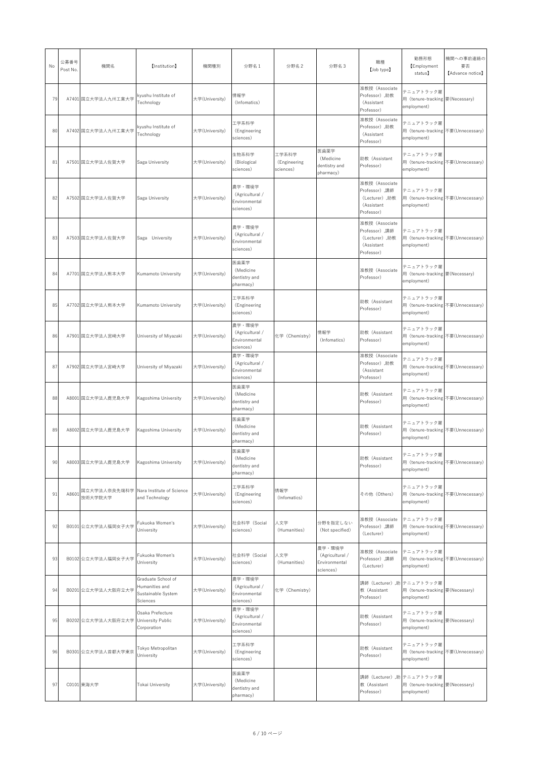| No | 公募番号<br>Post No. | 機関名                                                 | 【Institution】                                                          | 機関種別           | 分野名 1                                                   | 分野名 2                              | 分野名3                                                    | 職種<br>[Job type]                                                              | 勤務形態<br><b>Employment</b><br>status】                                                                    | 機関への事前連絡の<br>要否<br>[Advance notice] |
|----|------------------|-----------------------------------------------------|------------------------------------------------------------------------|----------------|---------------------------------------------------------|------------------------------------|---------------------------------------------------------|-------------------------------------------------------------------------------|---------------------------------------------------------------------------------------------------------|-------------------------------------|
| 79 |                  | A7401 国立大学法人九州工業大学                                  | kyushu Institute of<br>Technology                                      | 大学(University) | 情報学<br>(Infomatics)                                     |                                    |                                                         | 准教授 (Associate<br>Professor), 助教<br>(Assistant<br>Professor)                  | テニュアトラック雇<br>用 (tenure-tracking 要(Necessary)<br>employment)                                             |                                     |
| 80 |                  | A7402 国立大学法人九州工業大学                                  | kyushu Institute of<br>Technology                                      | 大学(University) | 工学系科学<br>(Engineering<br>sciences)                      |                                    |                                                         | 准教授 (Associate<br>Professor),助教<br>(Assistant<br>Professor)                   | テニュアトラック雇<br>用 (tenure-tracking 不要(Unnecessary)<br>employment)                                          |                                     |
| 81 |                  | A7501 国立大学法人佐賀大学                                    | Saga University                                                        | 大学(University) | 生物系科学<br>(Biological<br>sciences)                       | 工学系科学<br>(Engineering<br>sciences) | 医歯薬学<br>(Medicine<br>dentistry and<br>pharmacy)         | 助教 (Assistant<br>Professor)                                                   | テニュアトラック雇<br>用 (tenure-tracking 不要(Unnecessary)<br>employment)                                          |                                     |
| 82 |                  | A7502 国立大学法人佐賀大学                                    | Saga University                                                        | 大学(University) | 農学・環境学<br>(Agricultural /<br>Environmental<br>sciences) |                                    |                                                         | 准教授 (Associate<br>Professor),講師<br>(Lecturer), 助教<br>(Assistant<br>Professor) | テニュアトラック雇<br>用 (tenure-tracking 不要(Unnecessary)<br>employment)                                          |                                     |
| 83 |                  | A7503 国立大学法人佐賀大学                                    | Saga University                                                        | 大学(University) | 農学・環境学<br>(Agricultural /<br>Environmental<br>sciences) |                                    |                                                         | 准教授 (Associate<br>Professor),講師<br>(Lecturer), 助教<br>(Assistant<br>Professor) | テニュアトラック雇<br>用 (tenure-tracking 不要(Unnecessary)<br>employment)                                          |                                     |
| 84 |                  | A7701 国立大学法人熊本大学                                    | <b>Kumamoto University</b>                                             | 大学(University) | 医歯薬学<br>(Medicine<br>dentistry and<br>pharmacy)         |                                    |                                                         | 准教授 (Associate<br>Professor)                                                  | テニュアトラック雇<br>用 (tenure-tracking 要(Necessary)<br>employment)                                             |                                     |
| 85 |                  | A7702 国立大学法人熊本大学                                    | <b>Kumamoto University</b>                                             | 大学(University) | 工学系科学<br>(Engineering<br>sciences)                      |                                    |                                                         | 助教 (Assistant<br>Professor)                                                   | テニュアトラック雇<br>用 (tenure-tracking 不要(Unnecessary)<br>employment)                                          |                                     |
| 86 |                  | A7901 国立大学法人宮崎大学                                    | University of Miyazaki                                                 | 大学(University) | 農学·環境学<br>(Agricultural /<br>Environmental<br>sciences) | 化学 (Chemistry)                     | 情報学<br>(Infomatics)                                     | 助教 (Assistant<br>Professor)                                                   | テニュアトラック雇<br>用 (tenure-tracking 不要(Unnecessary)<br>employment)                                          |                                     |
| 87 |                  | A7902 国立大学法人宮崎大学                                    | University of Miyazaki                                                 | 大学(University) | 農学·環境学<br>(Agricultural /<br>Environmental<br>sciences) |                                    |                                                         | 准教授 (Associate<br>Professor), 助教<br>(Assistant<br>Professor)                  | テニュアトラック雇<br>用 (tenure-tracking 不要(Unnecessary)<br>employment)                                          |                                     |
| 88 |                  | A8001 国立大学法人鹿児島大学                                   | Kagoshima University                                                   | 大学(University) | 医歯薬学<br>(Medicine<br>dentistry and<br>pharmacy)         |                                    |                                                         | 助教 (Assistant<br>Professor)                                                   | テニュアトラック雇<br>用 (tenure-tracking 不要(Unnecessary)<br>employment)                                          |                                     |
| 89 |                  | A8002 国立大学法人鹿児島大学                                   | Kagoshima University                                                   | 大学(University) | 医歯薬学<br>(Medicine<br>dentistry and<br>pharmacy)         |                                    |                                                         | 助教 (Assistant<br>Professor)                                                   | テニュアトラック雇<br>用 (tenure-tracking 不要(Unnecessary)<br>employment)                                          |                                     |
| 90 |                  | A8003 国立大学法人鹿児島大学                                   | Kagoshima University                                                   | 大学(University) | 医歯薬学<br>(Medicine<br>dentistry and<br>pharmacy)         |                                    |                                                         | 助教 (Assistant<br>Professor)                                                   | テニュアトラック雇<br>用 (tenure-tracking 不要(Unnecessary)<br>employment)                                          |                                     |
| 91 | A8601            | 国立大学法人奈良先端科学   Nara Institute of Science<br>技術大学院大学 | and Technology                                                         | 大学(University) | 工学系科学<br>(Engineering<br>sciences)                      | 情報学<br>(Infomatics)                |                                                         | その他 (Others)                                                                  | テニュアトラック雇<br>用 (tenure-tracking 不要(Unnecessary)<br>employment)                                          |                                     |
| 92 |                  | B0101 公立大学法人福岡女子大学                                  | Fukuoka Women's<br>University                                          | 大学(University) | 社会科学 (Social<br>sciences)                               | 人文学<br>(Humanities)                | 分野を指定しない<br>(Not specified)                             | 准教授 (Associate<br>Professor) ,講師<br>(Lecturer)                                | テニュアトラック雇<br>用 (tenure-tracking 不要(Unnecessary)<br>employment)                                          |                                     |
| 93 |                  | B0102 公立大学法人福岡女子大学                                  | Fukuoka Women's<br>University                                          | 大学(University) | 社会科学 (Social<br>sciences)                               | 人文学<br>(Humanities)                | 農学・環境学<br>(Agricultural /<br>Environmental<br>sciences) | 准教授 (Associate<br>Professor) ,講師<br>(Lecturer)                                | テニュアトラック雇<br>用 (tenure-tracking 不要(Unnecessary)<br>employment)                                          |                                     |
| 94 |                  | B0201 公立大学法人大阪府立大学                                  | Graduate School of<br>Humanities and<br>Sustainable System<br>Sciences | 大学(University) | 農学·環境学<br>(Agricultural /<br>Environmental<br>sciences) | 化学 (Chemistry)                     |                                                         | 教 (Assistant<br>Professor)                                                    | 講師 (Lecturer) ,助 テニュアトラック雇<br>用 (tenure-tracking 要(Necessary)<br>employment)                            |                                     |
| 95 |                  | B0202 公立大学法人大阪府立大学 University Public                | Osaka Prefecture<br>Corporation                                        | 大学(University) | 農学·環境学<br>(Agricultural /<br>Environmental<br>sciences) |                                    |                                                         | 助教 (Assistant<br>Professor)                                                   | テニュアトラック雇<br>用 (tenure-tracking 要(Necessary)<br>employment)                                             |                                     |
| 96 |                  | B0301 公立大学法人首都大学東京                                  | Tokyo Metropolitan<br>University                                       | 大学(University) | 工学系科学<br>(Engineering<br>sciences)                      |                                    |                                                         | 助教 (Assistant<br>Professor)                                                   | テニュアトラック雇<br>用 (tenure-tracking 不要(Unnecessary)<br>employment)                                          |                                     |
| 97 |                  | C0101 東海大学                                          | <b>Tokai University</b>                                                | 大学(University) | 医歯薬学<br>(Medicine<br>dentistry and<br>pharmacy)         |                                    |                                                         | 教 (Assistant<br>Professor)                                                    | 講師 (Lecturer) ,助 テニュアトラック雇<br>用 $(tenure-tracking]$ $\overline{\mathcal{F}}$ (Necessary)<br>employment) |                                     |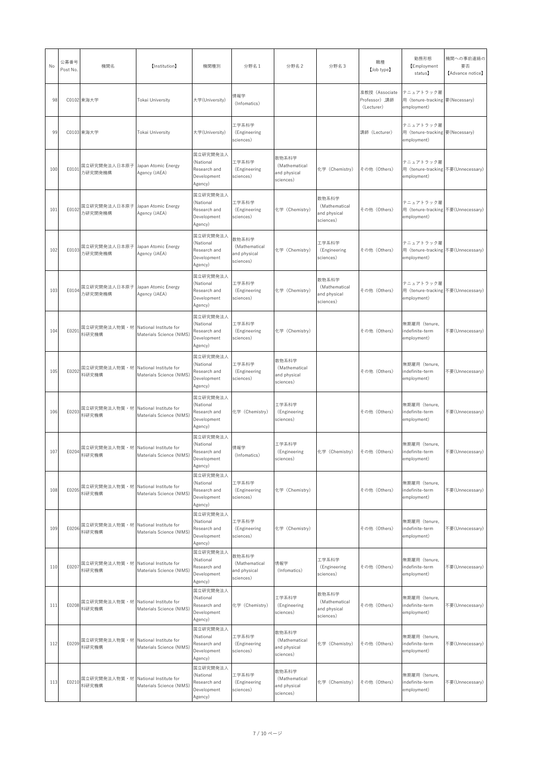| No  | 公募番号<br>Post No. | 機関名                                               | 【Institution】            | 機関種別                                                            | 分野名 1                                               | 分野名 2                                               | 分野名3                                                | 職種<br>[Job type]                              | 勤務形態<br><b>Employment</b><br>status】                           | 機関への事前連絡の<br>要否<br>[Advance notice] |
|-----|------------------|---------------------------------------------------|--------------------------|-----------------------------------------------------------------|-----------------------------------------------------|-----------------------------------------------------|-----------------------------------------------------|-----------------------------------------------|----------------------------------------------------------------|-------------------------------------|
| 98  |                  | C0102 東海大学                                        | Tokai University         | 大学(University)                                                  | 情報学<br>(Infomatics)                                 |                                                     |                                                     | 准教授 (Associate<br>Professor),講師<br>(Lecturer) | テニュアトラック雇<br>用 (tenure-tracking 要(Necessary)<br>employment)    |                                     |
| 99  |                  | C0103 東海大学                                        | Tokai University         | 大学(University)                                                  | 工学系科学<br>(Engineering<br>sciences)                  |                                                     |                                                     | 講師 (Lecturer)                                 | テニュアトラック雇<br>用 (tenure-tracking 要(Necessary)<br>employment)    |                                     |
| 100 | E0101            | 国立研究開発法人日本原子 Japan Atomic Energy<br>力研究開発機構       | Agency (JAEA)            | 国立研究開発法人<br>(National<br>Research and<br>Development<br>Agency) | 工学系科学<br>(Engineering<br>sciences)                  | 数物系科学<br>(Mathematical<br>and physical<br>sciences) | 化学 (Chemistry)                                      | その他 (Others)                                  | テニュアトラック雇<br>用 (tenure-tracking 不要(Unnecessary)<br>employment) |                                     |
| 101 | E0102            | 国立研究開発法人日本原子 Japan Atomic Energy<br>力研究開発機構       | Agency (JAEA)            | 国立研究開発法人<br>(National<br>Research and<br>Development<br>Agency) | 工学系科学<br>(Engineering<br>sciences)                  | 化学 (Chemistry)                                      | 数物系科学<br>(Mathematical<br>and physical<br>sciences) | その他 (Others)                                  | テニュアトラック雇<br>用 (tenure-tracking 不要(Unnecessary)<br>employment) |                                     |
| 102 |                  | E0103 国立研究開発法人日本原子 Japan Atomic Energy<br>力研究開発機構 | Agency (JAEA)            | 国立研究開発法人<br>(National<br>Research and<br>Development<br>Agency) | 数物系科学<br>(Mathematical<br>and physical<br>sciences) | 化学 (Chemistry)                                      | 工学系科学<br>(Engineering<br>sciences)                  | その他 (Others)                                  | テニュアトラック雇<br>用 (tenure-tracking 不要(Unnecessary)<br>employment) |                                     |
| 103 | E0104            | 国立研究開発法人日本原子 Japan Atomic Energy<br>力研究開発機構       | Agency (JAEA)            | 国立研究開発法人<br>(National<br>Research and<br>Development<br>Agency) | 工学系科学<br>(Engineering<br>sciences)                  | 化学 (Chemistry)                                      | 数物系科学<br>(Mathematical<br>and physical<br>sciences) | その他 (Others)                                  | テニュアトラック雇<br>用 (tenure-tracking 不要(Unnecessary)<br>employment) |                                     |
| 104 | E0201            | 国立研究開発法人物質・材 National Institute for<br>料研究機構      | Materials Science (NIMS) | 国立研究開発法人<br>(National<br>Research and<br>Development<br>Agency) | 工学系科学<br>(Engineering<br>sciences)                  | 化学 (Chemistry)                                      |                                                     | その他 (Others)                                  | 無期雇用 (tenure,<br>indefinite-term<br>employment)                | 不要(Unnecessary)                     |
| 105 | E0202            | 国立研究開発法人物質・材   National Institute for<br>料研究機構    | Materials Science (NIMS) | 国立研究開発法人<br>(National<br>Research and<br>Development<br>Agency) | 工学系科学<br>(Engineering<br>sciences)                  | 数物系科学<br>(Mathematical<br>and physical<br>sciences) |                                                     | その他 (Others)                                  | 無期雇用 (tenure,<br>indefinite-term<br>employment)                | 不要(Unnecessary)                     |
| 106 | E0203            | 国立研究開発法人物質・材 National Institute for<br>料研究機構      | Materials Science (NIMS) | 国立研究開発法人<br>(National<br>Research and<br>Development<br>Agency) | 化学 (Chemistry)                                      | 工学系科学<br>(Engineering<br>sciences)                  |                                                     | その他 (Others)                                  | 無期雇用 (tenure,<br>indefinite-term<br>employment)                | 不要(Unnecessary)                     |
| 107 | E0204            | 国立研究開発法人物質 · 材 National Institute for<br>料研究機構    | Materials Science (NIMS) | 国立研究開発法人<br>(National<br>Research and<br>Development<br>Agency) | 情報学<br>(Infomatics)                                 | 工学系科学<br>(Engineering<br>sciences)                  | 化学 (Chemistry)                                      | その他 (Others)                                  | 無期雇用 (tenure,<br>indefinite-term<br>employment)                | 不要(Unnecessary)                     |
| 108 | E0205            | 国立研究開発法人物質・材   National Institute for<br>料研究機構    | Materials Science (NIMS) | 国立研究開発法人<br>(National<br>Research and<br>Development<br>Agency) | 工学系科学<br>(Engineering<br>sciences)                  | 化学 (Chemistry)                                      |                                                     | その他 (Others)                                  | 無期雇用 (tenure,<br>indefinite-term<br>employment)                | 不要(Unnecessary)                     |
| 109 | E0206            | 国立研究開発法人物質・材 National Institute for<br>料研究機構      | Materials Science (NIMS) | 国立研究開発法人<br>(National<br>Research and<br>Development<br>Agency) | 工学系科学<br>(Engineering<br>sciences)                  | 化学 (Chemistry)                                      |                                                     | その他 (Others)                                  | 無期雇用 (tenure,<br>indefinite-term<br>employment)                | 不要(Unnecessary)                     |
| 110 | E0207            | 国立研究開発法人物質・材   National Institute for<br>料研究機構    | Materials Science (NIMS) | 国立研究開発法人<br>(National<br>Research and<br>Development<br>Agency) | 数物系科学<br>(Mathematical<br>and physical<br>sciences) | 情報学<br>(Infomatics)                                 | 工学系科学<br>(Engineering<br>sciences)                  | その他 (Others)                                  | 無期雇用 (tenure,<br>indefinite-term<br>employment)                | 不要(Unnecessary)                     |
| 111 | E0208            | 国立研究開発法人物質 · 材 National Institute for<br>料研究機構    | Materials Science (NIMS) | 国立研究開発法人<br>(National<br>Research and<br>Development<br>Agency) | 化学 (Chemistry)                                      | 工学系科学<br>(Engineering<br>sciences)                  | 数物系科学<br>(Mathematical<br>and physical<br>sciences) | その他 (Others)                                  | 無期雇用 (tenure,<br>indefinite-term<br>employment)                | 不要(Unnecessary)                     |
| 112 |                  | 国立研究開発法人物質・材 National Institute for               | Materials Science (NIMS) | 国立研究開発法人<br>(National<br>Research and<br>Development<br>Agency) | 工学系科学<br>(Engineering<br>sciences)                  | 数物系科学<br>(Mathematical<br>and physical<br>sciences) | 化学 (Chemistry)                                      | その他 (Others)                                  | 無期雇用 (tenure,<br>indefinite-term<br>employment)                | 不要(Unnecessary)                     |
| 113 | E0210            | 国立研究開発法人物質・材   National Institute for<br>料研究機構    | Materials Science (NIMS) | 国立研究開発法人<br>(National<br>Research and<br>Development<br>Agency) | 工学系科学<br>(Engineering<br>sciences)                  | 数物系科学<br>(Mathematical<br>and physical<br>sciences) | 化学 (Chemistry)                                      | その他 (Others)                                  | 無期雇用 (tenure,<br>indefinite-term<br>employment)                | 不要(Unnecessary)                     |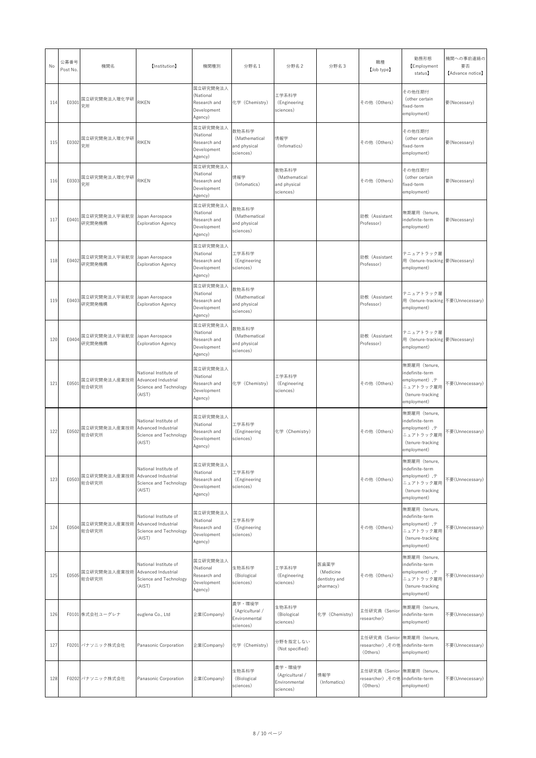| No  | 公募番号<br>Post No. | 機関名                                       | 【Institution】                                                                    | 機関種別                                                            | 分野名 1                                                   | 分野名 2                                                   | 分野名3                                            | 職種<br>[Job type]                                                            | 勤務形態<br><b>[Employment</b><br>status)                                                                         | 機関への事前連絡の<br>要否<br>[Advance notice] |
|-----|------------------|-------------------------------------------|----------------------------------------------------------------------------------|-----------------------------------------------------------------|---------------------------------------------------------|---------------------------------------------------------|-------------------------------------------------|-----------------------------------------------------------------------------|---------------------------------------------------------------------------------------------------------------|-------------------------------------|
| 114 | E0301            | 国立研究開発法人理化学研<br>究所                        | <b>RIKEN</b>                                                                     | 国立研究開発法人<br>(National<br>Research and<br>Development<br>Agency) | 化学 (Chemistry)                                          | 工学系科学<br>(Engineering<br>sciences)                      |                                                 | その他 (Others)                                                                | その他任期付<br>(other certain<br>fixed-term<br>employment)                                                         | 要(Necessary)                        |
| 115 | E0302            | 国立研究開発法人理化学研<br>究所                        | <b>RIKEN</b>                                                                     | 国立研究開発法人<br>(National<br>Research and<br>Development<br>Agency) | 数物系科学<br>(Mathematical<br>and physical<br>sciences)     | 情報学<br>(Infomatics)                                     |                                                 | その他 (Others)                                                                | その他任期付<br>(other certain<br>fixed-term<br>employment)                                                         | 要(Necessary)                        |
| 116 | E0303            | 国立研究開発法人理化学研<br>究所                        | <b>RIKEN</b>                                                                     | 国立研究開発法人<br>(National<br>Research and<br>Development<br>Agency) | 情報学<br>(Infomatics)                                     | 数物系科学<br>(Mathematical<br>and physical<br>sciences)     |                                                 | その他 (Others)                                                                | その他任期付<br>(other certain<br>fixed-term<br>employment)                                                         | 要(Necessary)                        |
| 117 | E0401            | 国立研究開発法人宇宙航空 Japan Aerospace<br>研究開発機構    | <b>Exploration Agency</b>                                                        | 国立研究開発法人<br>(National<br>Research and<br>Development<br>Agency) | 数物系科学<br>(Mathematical<br>and physical<br>sciences)     |                                                         |                                                 | 助教 (Assistant<br>Professor)                                                 | 無期雇用 (tenure,<br>indefinite-term<br>employment)                                                               | 要(Necessary)                        |
| 118 | E0402            | 国立研究開発法人宇宙航空<br>研究開発機構                    | Japan Aerospace<br><b>Exploration Agency</b>                                     | 国立研究開発法人<br>(National<br>Research and<br>Development<br>Agency) | 工学系科学<br>(Engineering<br>sciences)                      |                                                         |                                                 | 助教 (Assistant<br>Professor)                                                 | テニュアトラック雇<br>用 (tenure-tracking 要 (Necessary)<br>employment)                                                  |                                     |
| 119 | E0403            | 国立研究開発法人宇宙航空 Japan Aerospace<br>研究開発機構    | <b>Exploration Agency</b>                                                        | 国立研究開発法人<br>(National<br>Research and<br>Development<br>Agency) | 数物系科学<br>(Mathematical<br>and physical<br>sciences)     |                                                         |                                                 | 助教 (Assistant<br>Professor)                                                 | テニュアトラック雇<br>用 (tenure-tracking 不要(Unnecessary)<br>employment)                                                |                                     |
| 120 | E0404            | 国立研究開発法人宇宙航空 Japan Aerospace<br>研究開発機構    | <b>Exploration Agency</b>                                                        | 国立研究開発法人<br>(National<br>Research and<br>Development<br>Agency) | 数物系科学<br>(Mathematical<br>and physical<br>sciences)     |                                                         |                                                 | 助教 (Assistant<br>Professor)                                                 | テニュアトラック雇<br>用 (tenure-tracking 要 (Necessary)<br>employment)                                                  |                                     |
| 121 | E0501            | 国立研究開発法人産業技術 Advanced Industrial<br>総合研究所 | National Institute of<br>Science and Technology<br>(AIST)                        | 国立研究開発法人<br>(National<br>Research and<br>Development<br>Agency) | 化学 (Chemistry)                                          | 工学系科学<br>(Engineering<br>sciences)                      |                                                 | その他 (Others)                                                                | 無期雇用 (tenure,<br>indefinite-term<br>employment), $\bar{\tau}$<br>ニュアトラック雇用<br>(tenure-tracking<br>employment) | 不要(Unnecessary)                     |
| 122 | E0502            | 国立研究開発法人産業技術 Advanced Industrial<br>総合研究所 | National Institute of<br>Science and Technology<br>(AIST)                        | 国立研究開発法人<br>(National<br>Research and<br>Development<br>Agency) | 工学系科学<br>(Engineering<br>sciences)                      | 化学 (Chemistry)                                          |                                                 | その他 (Others)                                                                | 無期雇用 (tenure,<br>indefinite-term<br>employment), $\bar{\tau}$<br>ニュアトラック雇用<br>(tenure-tracking<br>employment) | 不要(Unnecessary)                     |
| 123 | E0503            | 国立研究開発法人産業技術 Advanced Industrial<br>総合研究所 | National Institute of<br>Science and Technology<br>(AIST)                        | 国立研究開発法人<br>(National<br>Research and<br>Development<br>Agency) | 工学系科学<br>(Engineering<br>sciences)                      |                                                         |                                                 | その他 (Others)                                                                | 無期雇用 (tenure,<br>indefinite-term<br>employment), $\bar{\tau}$<br>ニュアトラック雇用<br>(tenure-tracking<br>employment) | 不要(Unnecessary)                     |
| 124 | E0504            | 国立研究開発法人産業技術 Advanced Industrial<br>総合研究所 | National Institute of<br>Science and Technology<br>(AIST)                        | 国立研究開発法人<br>(National<br>Research and<br>Development<br>Agency) | 工学系科学<br>(Engineering<br>sciences)                      |                                                         |                                                 | その他 (Others)                                                                | 無期雇用 (tenure,<br>indefinite-term<br>employment), $\bar{\tau}$<br>ニュアトラック雇用<br>(tenure-tracking<br>employment) | 不要(Unnecessary)                     |
| 125 | E0505            | 国立研究開発法人産業技術<br>総合研究所                     | National Institute of<br>Advanced Industrial<br>Science and Technology<br>(AIST) | 国立研究開発法人<br>(National<br>Research and<br>Development<br>Agency) | 生物系科学<br>(Biological<br>sciences)                       | 工学系科学<br>(Engineering<br>sciences)                      | 医歯薬学<br>(Medicine<br>dentistry and<br>pharmacy) | その他 (Others)                                                                | 無期雇用 (tenure,<br>indefinite-term<br>employment), $\bar{\tau}$<br>ニュアトラック雇用<br>(tenure-tracking<br>employment) | 不要(Unnecessary)                     |
| 126 |                  | F0101 株式会社ユーグレナ                           | euglena Co., Ltd                                                                 | 企業(Company)                                                     | 農学・環境学<br>(Agricultural /<br>Environmental<br>sciences) | 生物系科学<br>(Biological<br>sciences)                       | 化学 (Chemistry)                                  | 主任研究員 (Senior<br>researcher)                                                | 無期雇用 (tenure,<br>indefinite-term<br>employment)                                                               | 不要(Unnecessary)                     |
| 127 |                  | F0201 パナソニック株式会社                          | Panasonic Corporation                                                            | 企業(Company)                                                     | 化学 (Chemistry)                                          | 分野を指定しない<br>(Not specified)                             |                                                 | 主任研究員 (Senior 無期雇用 (tenure,<br>researcher), その他 indefinite-term<br>(Others) | employment)                                                                                                   | 不要(Unnecessary)                     |
| 128 |                  | F0202 パナソニック株式会社                          | Panasonic Corporation                                                            | 企業(Company)                                                     | 生物系科学<br>(Biological<br>sciences)                       | 農学·環境学<br>(Agricultural /<br>Environmental<br>sciences) | 情報学<br>(Infomatics)                             | 主任研究員 (Senior 無期雇用 (tenure,<br>researcher) ,その他 indefinite-term<br>(Others) | employment)                                                                                                   | 不要(Unnecessary)                     |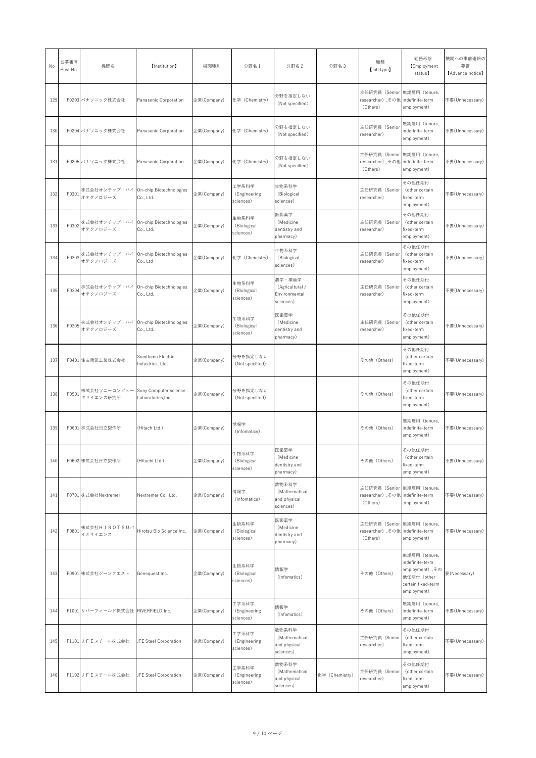| No  | 公募番号<br>Post No. | 機関名                                              | 【Institution】                         | 機関種別        | 分野名1                               | 分野名 2                                                   | 分野名3           | 職種<br>[Job type]                                                            | 勤務形態<br><b>Employment</b><br>status)                                                                    | 機関への事前連絡の<br>要否<br>[Advance notice] |
|-----|------------------|--------------------------------------------------|---------------------------------------|-------------|------------------------------------|---------------------------------------------------------|----------------|-----------------------------------------------------------------------------|---------------------------------------------------------------------------------------------------------|-------------------------------------|
| 129 |                  | F0203 パナソニック株式会社                                 | Panasonic Corporation                 | 企業(Company) | 化学 (Chemistry)                     | 分野を指定しない<br>(Not specified)                             |                | 主任研究員 (Senior 無期雇用 (tenure,<br>researcher) ,その他 indefinite-term<br>(Others) | employment)                                                                                             | 不要(Unnecessary)                     |
| 130 |                  | F0204 パナソニック株式会社                                 | Panasonic Corporation                 | 企業(Company) | 化学 (Chemistry)                     | 分野を指定しない<br>(Not specified)                             |                | 主任研究員 (Senior<br>researcher)                                                | 無期雇用 (tenure,<br>indefinite-term<br>employment)                                                         | 不要(Unnecessary)                     |
| 131 |                  | F0205 パナソニック株式会社                                 | Panasonic Corporation                 | 企業(Company) | 化学 (Chemistry)                     | 分野を指定しない<br>(Not specified)                             |                | 主任研究員 (Senior 無期雇用 (tenure,<br>researcher) ,その他 indefinite-term<br>(Others) | employment)                                                                                             | 不要(Unnecessary)                     |
| 132 | F0301            | 株式会社オンチップ・バイ On-chip Biotechnologies<br>オテクノロジーズ | Co., Ltd.                             | 企業(Company) | 工学系科学<br>(Engineering<br>sciences) | 生物系科学<br>(Biological<br>sciences)                       |                | 主任研究員 (Senior<br>researcher)                                                | その他任期付<br>(other certain<br>fixed-term<br>employment)                                                   | 不要(Unnecessary)                     |
| 133 | F0302            | 株式会社オンチップ・バイ On-chip Biotechnologies<br>オテクノロジーズ | Co., Ltd.                             | 企業(Company) | 生物系科学<br>(Biological<br>sciences)  | 医歯薬学<br>(Medicine<br>dentistry and<br>pharmacy)         |                | 主任研究員 (Senior<br>researcher)                                                | その他任期付<br>(other certain<br>fixed-term<br>employment)                                                   | 不要(Unnecessary)                     |
| 134 | F0303            | 株式会社オンチップ・バイ On-chip Biotechnologies<br>オテクノロジーズ | Co., Ltd                              | 企業(Company) | 化学 (Chemistry)                     | 生物系科学<br>(Biological<br>sciences)                       |                | 主任研究員 (Senior<br>researcher)                                                | その他任期付<br>(other certain<br>fixed-term<br>employment)                                                   | 不要(Unnecessary)                     |
| 135 | F0304            | 株式会社オンチップ・バイ On-chip Biotechnologies<br>オテクノロジーズ | Co., Ltd.                             | 企業(Company) | 生物系科学<br>(Biological<br>sciences)  | 農学·環境学<br>(Agricultural /<br>Environmental<br>sciences) |                | 主任研究員 (Senior<br>researcher)                                                | その他任期付<br>(other certain<br>fixed-term<br>employment)                                                   | 不要(Unnecessary)                     |
| 136 | F0305            | 株式会社オンチップ・バイ On-chip Biotechnologies<br>オテクノロジーズ | Co., Ltd.                             | 企業(Company) | 生物系科学<br>(Biological<br>sciences)  | 医歯薬学<br>(Medicine<br>dentistry and<br>pharmacy)         |                | 主任研究員 (Senior<br>researcher)                                                | その他任期付<br>(other certain<br>fixed-term<br>employment)                                                   | 不要(Unnecessary)                     |
| 137 |                  | F0401 住友電気工業株式会社                                 | Sumitomo Electric<br>Industries, Ltd. | 企業(Company) | 分野を指定しない<br>(Not specified)        |                                                         |                | その他 (Others)                                                                | その他任期付<br>(other certain<br>fixed-term<br>employment)                                                   | 不要(Unnecessary)                     |
| 138 | F0501            | 株式会社ソニーコンピュー Sony Computer science<br>タサイエンス研究所  | Laboratories, Inc.                    | 企業(Company) | 分野を指定しない<br>(Not specified)        |                                                         |                | その他 (Others)                                                                | その他任期付<br>(other certain<br>fixed-term<br>employment)                                                   | 不要(Unnecessary)                     |
| 139 |                  | F0601 株式会社日立製作所                                  | (Hitach Ltd.)                         | 企業(Company) | 情報学<br>(Infomatics)                |                                                         |                | その他 (Others)                                                                | 無期雇用 (tenure,<br>indefinite-term<br>employment)                                                         | 不要(Unnecessary)                     |
| 140 |                  | F0602 株式会社日立製作所                                  | (Hitachi Ltd.)                        | 企業(Company) | 生物系科学<br>(Biological<br>sciences)  | 医歯薬学<br>(Medicine<br>dentistry and<br>pharmacy)         |                | その他 (Others)                                                                | その他任期付<br>(other certain<br>fixed-term<br>employment)                                                   | 不要(Unnecessary)                     |
| 141 |                  | F0701 株式会社Nextremer                              | Nextremer Co., Ltd.                   | 企業(Company) | 情報学<br>(Infomatics)                | 数物系科学<br>(Mathematical<br>and physical<br>sciences)     |                | 主任研究員 (Senior 無期雇用 (tenure,<br>researcher), その他 indefinite-term<br>(Others) | employment)                                                                                             | 不要(Unnecessary)                     |
| 142 | F0801            | 株式会社HIROTSUバ<br>イオサイエンス                          | Hirotsu Bio Science Inc.              | 企業(Company) | 生物系科学<br>(Biological<br>sciences)  | 医歯薬学<br>(Medicine<br>dentistry and<br>pharmacy)         |                | 主任研究員 (Senior 無期雇用 (tenure,<br>researcher) ,その他 indefinite-term<br>(Others) | employment)                                                                                             | 不要(Unnecessary)                     |
| 143 |                  | F0901 株式会社ジーンクエスト                                | Genequest Inc.                        | 企業(Company) | 生物系科学<br>(Biological<br>sciences)  | 情報学<br>(Infomatics)                                     |                | その他 (Others)                                                                | 無期雇用 (tenure,<br>indefinite-term<br>employment) ,その<br>他任期付 (other<br>certain fixed-term<br>employment) | 要(Necessary)                        |
| 144 |                  | F1001 リバーフィールド株式会社 RIVERFIELD Inc.               |                                       | 企業(Company) | 工学系科学<br>(Engineering<br>sciences) | 情報学<br>(Infomatics)                                     |                | その他 (Others)                                                                | 無期雇用 (tenure,<br>indefinite-term<br>employment)                                                         | 不要(Unnecessary)                     |
| 145 |                  | F1101 J F E スチール株式会社 JFE Steel Corporation       |                                       | 企業(Company) | 工学系科学<br>(Engineering<br>sciences) | 数物系科学<br>(Mathematical<br>and physical<br>sciences)     |                | 主任研究員 (Senior<br>researcher)                                                | その他任期付<br>(other certain<br>fixed-term<br>employment)                                                   | 不要(Unnecessary)                     |
| 146 |                  | F1102 J F E スチール株式会社                             | JFE Steel Corporation                 | 企業(Company) | 工学系科学<br>(Engineering<br>sciences) | 数物系科学<br>(Mathematical<br>and physical<br>sciences)     | 化学 (Chemistry) | 主任研究員 (Senior<br>researcher)                                                | その他任期付<br>(other certain<br>fixed-term<br>employment)                                                   | 不要(Unnecessary)                     |